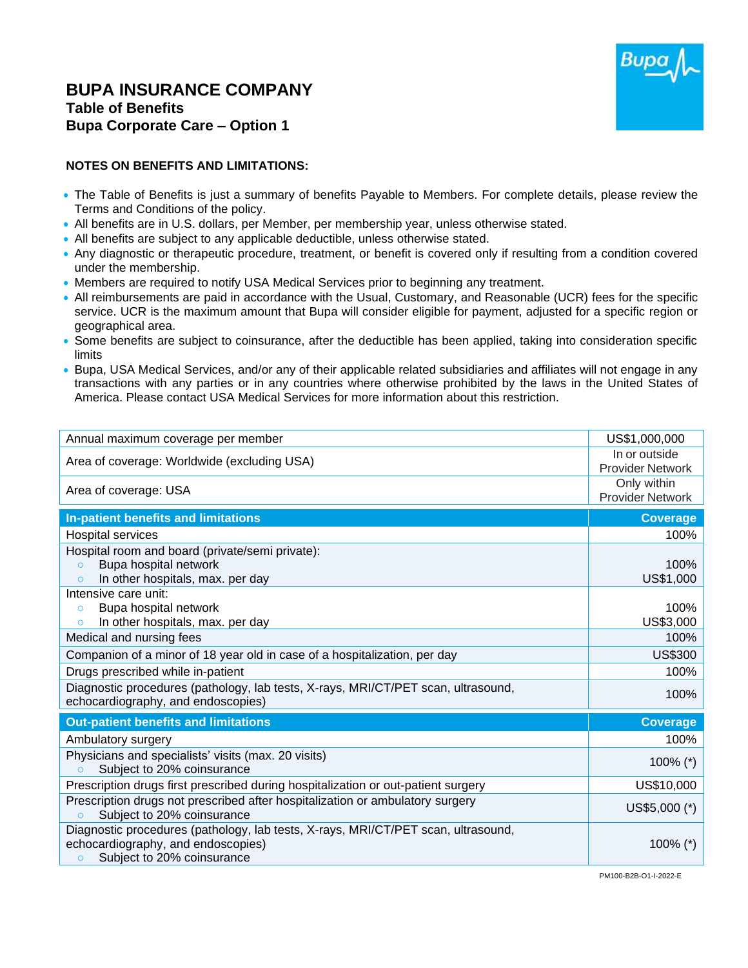## **BUPA INSURANCE COMPANY Table of Benefits Bupa Corporate Care – Option 1**



## **NOTES ON BENEFITS AND LIMITATIONS:**

- The Table of Benefits is just a summary of benefits Payable to Members. For complete details, please review the Terms and Conditions of the policy.
- All benefits are in U.S. dollars, per Member, per membership year, unless otherwise stated.
- All benefits are subject to any applicable deductible, unless otherwise stated.
- Any diagnostic or therapeutic procedure, treatment, or benefit is covered only if resulting from a condition covered under the membership.
- Members are required to notify USA Medical Services prior to beginning any treatment.
- All reimbursements are paid in accordance with the Usual, Customary, and Reasonable (UCR) fees for the specific service. UCR is the maximum amount that Bupa will consider eligible for payment, adjusted for a specific region or geographical area.
- Some benefits are subject to coinsurance, after the deductible has been applied, taking into consideration specific limits
- Bupa, USA Medical Services, and/or any of their applicable related subsidiaries and affiliates will not engage in any transactions with any parties or in any countries where otherwise prohibited by the laws in the United States of America. Please contact USA Medical Services for more information about this restriction.

| Annual maximum coverage per member                                                                                                                                | US\$1,000,000                            |
|-------------------------------------------------------------------------------------------------------------------------------------------------------------------|------------------------------------------|
| Area of coverage: Worldwide (excluding USA)                                                                                                                       | In or outside<br><b>Provider Network</b> |
| Area of coverage: USA                                                                                                                                             | Only within<br><b>Provider Network</b>   |
| In-patient benefits and limitations                                                                                                                               | <b>Coverage</b>                          |
| <b>Hospital services</b>                                                                                                                                          | 100%                                     |
| Hospital room and board (private/semi private):                                                                                                                   |                                          |
| Bupa hospital network<br>$\Omega$                                                                                                                                 | 100%                                     |
| In other hospitals, max. per day                                                                                                                                  | US\$1,000                                |
| Intensive care unit:                                                                                                                                              |                                          |
| Bupa hospital network<br>$\circ$<br>In other hospitals, max. per day<br>$\circ$                                                                                   | 100%<br>US\$3,000                        |
| Medical and nursing fees                                                                                                                                          | 100%                                     |
|                                                                                                                                                                   |                                          |
| Companion of a minor of 18 year old in case of a hospitalization, per day                                                                                         | <b>US\$300</b>                           |
| Drugs prescribed while in-patient                                                                                                                                 | 100%                                     |
| Diagnostic procedures (pathology, lab tests, X-rays, MRI/CT/PET scan, ultrasound,<br>echocardiography, and endoscopies)                                           | 100%                                     |
| <b>Out-patient benefits and limitations</b>                                                                                                                       | <b>Coverage</b>                          |
| Ambulatory surgery                                                                                                                                                | 100%                                     |
| Physicians and specialists' visits (max. 20 visits)                                                                                                               | 100% $(*)$                               |
| Subject to 20% coinsurance<br>$\circ$                                                                                                                             |                                          |
| Prescription drugs first prescribed during hospitalization or out-patient surgery                                                                                 | US\$10,000                               |
| Prescription drugs not prescribed after hospitalization or ambulatory surgery<br>Subject to 20% coinsurance<br>$\circ$                                            | US\$5,000 (*)                            |
| Diagnostic procedures (pathology, lab tests, X-rays, MRI/CT/PET scan, ultrasound,<br>echocardiography, and endoscopies)<br>Subject to 20% coinsurance<br>$\Omega$ | 100% $(*)$                               |

PM100-B2B-O1-I-2022-E